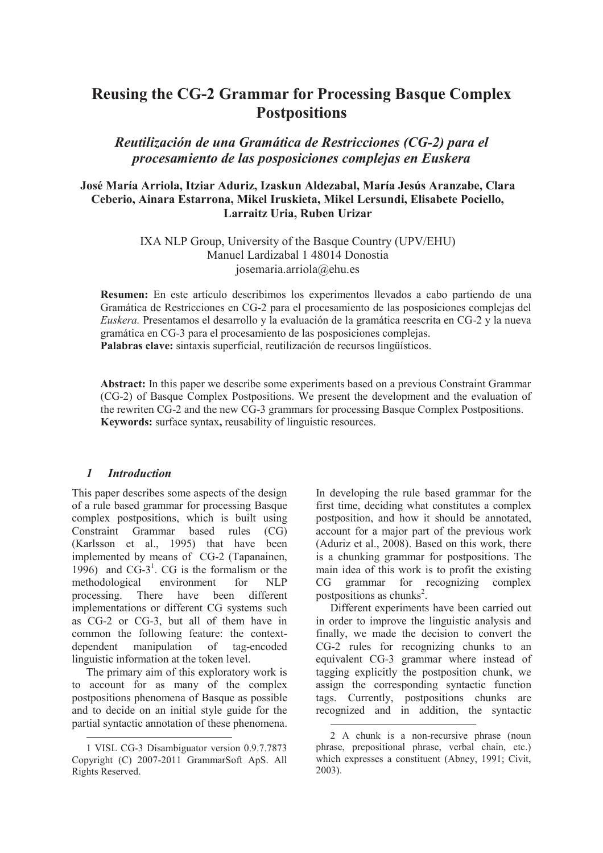# **Reusing the CG-2 Grammar for Processing Basque Complex Postpositions**

*Reutilización de una Gramática de Restricciones (CG-2) para el procesamiento de las posposiciones complejas en Euskera*

## **José María Arriola, Itziar Aduriz, Izaskun Aldezabal, María Jesús Aranzabe, Clara Ceberio, Ainara Estarrona, Mikel Iruskieta, Mikel Lersundi, Elisabete Pociello, Larraitz Uria, Ruben Urizar**

#### IXA NLP Group, University of the Basque Country (UPV/EHU) Manuel Lardizabal 1 48014 Donostia josemaria.arriola@ehu.es

**Resumen:** En este artículo describimos los experimentos llevados a cabo partiendo de una Gramática de Restricciones en CG-2 para el procesamiento de las posposiciones complejas del *Euskera.* Presentamos el desarrollo y la evaluación de la gramática reescrita en CG-2 y la nueva gramática en CG-3 para el procesamiento de las posposiciones complejas. **Palabras clave:** sintaxis superficial, reutilización de recursos lingüísticos.

**Abstract:** In this paper we describe some experiments based on a previous Constraint Grammar (CG-2) of Basque Complex Postpositions. We present the development and the evaluation of the rewriten CG-2 and the new CG-3 grammars for processing Basque Complex Postpositions. **Keywords:** surface syntax**,** reusability of linguistic resources.

 $\overline{a}$ 

## *1 Introduction*

This paper describes some aspects of the design of a rule based grammar for processing Basque complex postpositions, which is built using Constraint Grammar based rules (CG) (Karlsson et al., 1995) that have been implemented by means of CG-2 (Tapanainen, 1996) and  $CG-3<sup>1</sup>$ . CG is the formalism or the methodological environment for NLP<br>processing. There have been different processing. There have been different implementations or different CG systems such as CG-2 or CG-3, but all of them have in common the following feature: the contextdependent manipulation of tag-encoded linguistic information at the token level.

The primary aim of this exploratory work is to account for as many of the complex postpositions phenomena of Basque as possible and to decide on an initial style guide for the partial syntactic annotation of these phenomena. In developing the rule based grammar for the first time, deciding what constitutes a complex postposition, and how it should be annotated, account for a major part of the previous work (Aduriz et al., 2008). Based on this work, there is a chunking grammar for postpositions. The main idea of this work is to profit the existing CG grammar for recognizing complex postpositions as chunks<sup>2</sup>.

Different experiments have been carried out in order to improve the linguistic analysis and finally, we made the decision to convert the CG-2 rules for recognizing chunks to an equivalent CG-3 grammar where instead of tagging explicitly the postposition chunk, we assign the corresponding syntactic function tags. Currently, postpositions chunks are recognized and in addition, the syntactic

<sup>&</sup>lt;u>.</u> 1 VISL CG-3 Disambiguator version 0.9.7.7873 Copyright (C) 2007-2011 GrammarSoft ApS. All Rights Reserved.

<sup>2</sup> A chunk is a non-recursive phrase (noun phrase, prepositional phrase, verbal chain, etc.) which expresses a constituent (Abney, 1991; Civit, 2003).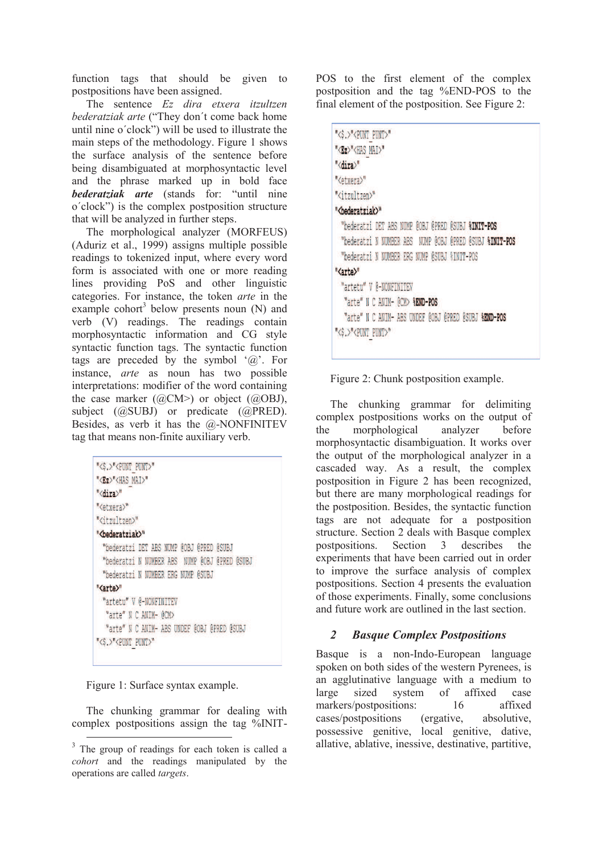function tags that should be given to postpositions have been assigned.

The sentence *Ez dira etxera itzultzen bederatziak arte* ("They don´t come back home until nine o´clock") will be used to illustrate the main steps of the methodology. Figure 1 shows the surface analysis of the sentence before being disambiguated at morphosyntactic level and the phrase marked up in bold face *bederatziak arte* (stands for: "until nine o´clock") is the complex postposition structure that will be analyzed in further steps.

The morphological analyzer (MORFEUS) (Aduriz et al., 1999) assigns multiple possible readings to tokenized input, where every word form is associated with one or more reading lines providing PoS and other linguistic categories. For instance, the token *arte* in the example cohort<sup>3</sup> below presents noun (N) and verb (V) readings. The readings contain morphosyntactic information and CG style syntactic function tags. The syntactic function tags are preceded by the symbol  $\hat{a}$ . For instance, *arte* as noun has two possible interpretations: modifier of the word containing the case marker  $(QCM>0)$  or object  $(QOBJ)$ , subject (@SUBJ) or predicate (@PRED). Besides, as verb it has the @-NONFINITEV tag that means non-finite auxiliary verb.

| "<\$,>" <punt punt="">"</punt>                |
|-----------------------------------------------|
| " <ez>"<has mai="">"</has></ez>               |
| " <dira>"</dira>                              |
| " <etxera>"</etxera>                          |
| " <itzultzen>"</itzultzen>                    |
| " <bederatziak>"</bederatziak>                |
| "bederatzi DET ABS NUMP @OBJ @PRED @SUBJ      |
| "bederatzi N NUMBER ABS NUMP @OBJ @PRED @SUBJ |
| "bederatzi N NUMBER ERG NUMP @SUBJ            |
| " <arte>"</arte>                              |
| "artetu" V @-NONFINITEV                       |
| "arte" N C ANIM- @CM>                         |
| "arte" N C ANIM- ABS UNDEF @OBJ @PRED @SUBJ   |
| "<\$.>" <punt_punt>"</punt_punt>              |

Figure 1: Surface syntax example.

-

The chunking grammar for dealing with complex postpositions assign the tag %INIT- POS to the first element of the complex postposition and the tag %END-POS to the final element of the postposition. See Figure 2:

| "<\$.>" <punt punt="">"</punt>                          |
|---------------------------------------------------------|
| " <ez>"<has mai="">"</has></ez>                         |
| " <dira>"</dira>                                        |
| " <etxera>"</etxera>                                    |
| " <itzultzen>"</itzultzen>                              |
| " <bederatziak>"</bederatziak>                          |
| "bederatzi DET ABS NUMP @OBJ @PRED @SUBJ %INIT-POS      |
| "bederatzi N NUMBER ABS NUMP @OBJ @PRED @SUBJ %INIT-POS |
| "bederatzi N NUMBER ERG NUMP @SUBJ %INIT-POS            |
| " <arte>"</arte>                                        |
| "artetu" V @-NONFINITEV                                 |
| "arte" N C ANIM- @CM> %END-POS                          |
| "arte" N C ANIM- ABS UNDEF @OBJ @PRED @SUBJ %END-POS    |
| "<\$.>" <punt punt="">"</punt>                          |



The chunking grammar for delimiting complex postpositions works on the output of the morphological analyzer before morphosyntactic disambiguation. It works over the output of the morphological analyzer in a cascaded way. As a result, the complex postposition in Figure 2 has been recognized, but there are many morphological readings for the postposition. Besides, the syntactic function tags are not adequate for a postposition structure. Section 2 deals with Basque complex postpositions. Section 3 describes the experiments that have been carried out in order to improve the surface analysis of complex postpositions. Section 4 presents the evaluation of those experiments. Finally, some conclusions and future work are outlined in the last section.

# *2 Basque Complex Postpositions*

Basque is a non-Indo-European language spoken on both sides of the western Pyrenees, is an agglutinative language with a medium to large sized system of affixed case markers/postpositions: 16 affixed cases/postpositions (ergative, absolutive, possessive genitive, local genitive, dative, allative, ablative, inessive, destinative, partitive,

<sup>&</sup>lt;sup>3</sup> The group of readings for each token is called a *cohort* and the readings manipulated by the operations are called *targets*.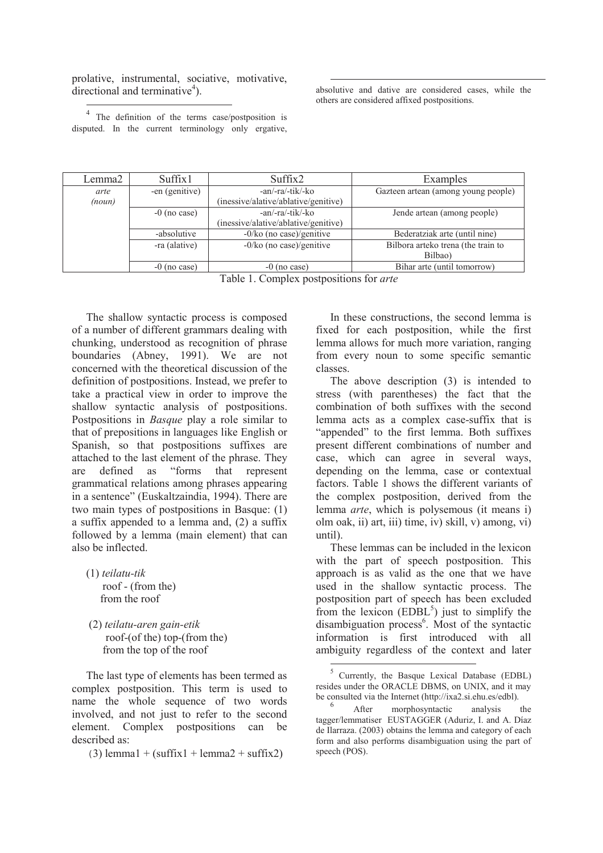prolative, instrumental, sociative, motivative, directional and terminative<sup>4</sup>).

absolutive and dative are considered cases, while the others are considered affixed postpositions.

<sup>4</sup> The definition of the terms case/postposition is disputed. In the current terminology only ergative,

<u>.</u>

| Lemma2 | Suffix1        | Suffix2                              | Examples                            |
|--------|----------------|--------------------------------------|-------------------------------------|
| arte   | -en (genitive) | -an/-ra/-tik/-ko                     | Gazteen artean (among young people) |
| (noun) |                | (inessive/alative/ablative/genitive) |                                     |
|        | $-0$ (no case) | -an/-ra/-tik/-ko                     | Jende artean (among people)         |
|        |                | (inessive/alative/ablative/genitive) |                                     |
|        | -absolutive    | $-0$ /ko (no case)/genitive          | Bederatziak arte (until nine)       |
|        | -ra (alative)  | $-0$ /ko (no case)/genitive          | Bilbora arteko trena (the train to  |
|        |                |                                      | Bilbao)                             |
|        | $-0$ (no case) | $-0$ (no case)                       | Bihar arte (until tomorrow)         |

Table 1. Complex postpositions for *arte*

 $\overline{a}$ 

The shallow syntactic process is composed of a number of different grammars dealing with chunking, understood as recognition of phrase boundaries (Abney, 1991). We are not concerned with the theoretical discussion of the definition of postpositions. Instead, we prefer to take a practical view in order to improve the shallow syntactic analysis of postpositions. Postpositions in *Basque* play a role similar to that of prepositions in languages like English or Spanish, so that postpositions suffixes are attached to the last element of the phrase. They are defined as "forms that represent grammatical relations among phrases appearing in a sentence" (Euskaltzaindia, 1994). There are two main types of postpositions in Basque: (1) a suffix appended to a lemma and, (2) a suffix followed by a lemma (main element) that can also be inflected.

- (1) *teilatu-tik* roof - (from the) from the roof
- (2) *teilatu-aren gain-etik* roof-(of the) top-(from the) from the top of the roof

The last type of elements has been termed as complex postposition. This term is used to name the whole sequence of two words involved, and not just to refer to the second element. Complex postpositions can be described as:

(3) lemma $1 + (suffix1 + lemma2 + suffix2)$ 

In these constructions, the second lemma is fixed for each postposition, while the first lemma allows for much more variation, ranging from every noun to some specific semantic classes.

The above description (3) is intended to stress (with parentheses) the fact that the combination of both suffixes with the second lemma acts as a complex case-suffix that is "appended" to the first lemma. Both suffixes present different combinations of number and case, which can agree in several ways, depending on the lemma, case or contextual factors. Table 1 shows the different variants of the complex postposition, derived from the lemma *arte*, which is polysemous (it means i) olm oak, ii) art, iii) time, iv) skill, v) among, vi) until).

These lemmas can be included in the lexicon with the part of speech postposition. This approach is as valid as the one that we have used in the shallow syntactic process. The postposition part of speech has been excluded from the lexicon  $(E\ddot{D}BL^5)$  just to simplify the disambiguation process<sup>6</sup>. Most of the syntactic information is first introduced with all ambiguity regardless of the context and later

 $\overline{a}$ <sup>5</sup> Currently, the Basque Lexical Database (EDBL) resides under the ORACLE DBMS, on UNIX, and it may be consulted via the Internet (http://ixa2.si.ehu.es/edbl).

<sup>6</sup> After morphosyntactic analysis the tagger/lemmatiser EUSTAGGER (Aduriz, I. and A. Díaz de Ilarraza. (2003) obtains the lemma and category of each form and also performs disambiguation using the part of speech (POS).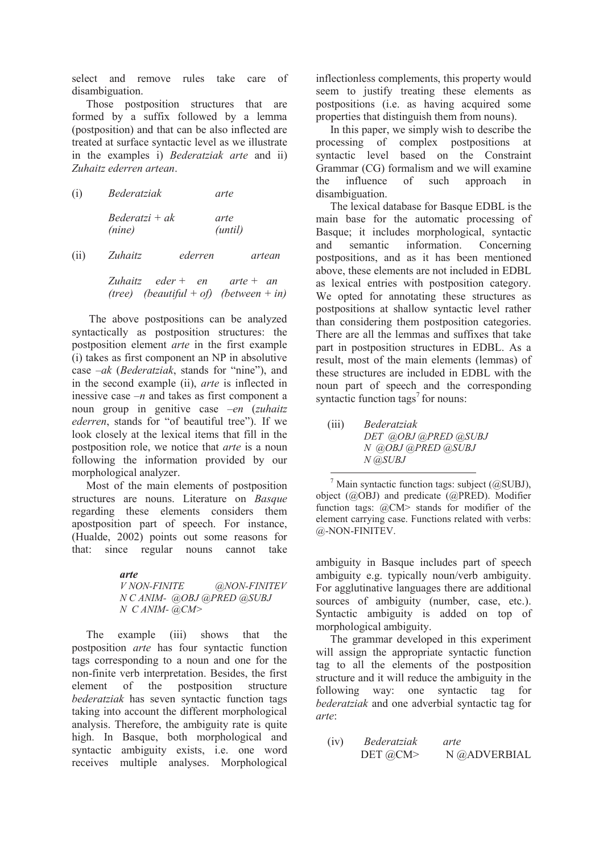select and remove rules take care of disambiguation.

Those postposition structures that are formed by a suffix followed by a lemma (postposition) and that can be also inflected are treated at surface syntactic level as we illustrate in the examples i) *Bederatziak arte* and ii) *Zuhaitz ederren artean*.

| (i) | Bederatziak                | arte                     |        |
|-----|----------------------------|--------------------------|--------|
|     | $Bederatzi + ak$<br>(nine) | arte<br>( <i>until</i> ) |        |
| (i) | Zuhaitz                    | ederren                  | artean |

*Zuhaitz eder + en arte + an (tree) (beautiful + of) (between + in)* 

 The above postpositions can be analyzed syntactically as postposition structures: the postposition element *arte* in the first example (i) takes as first component an NP in absolutive case –*ak* (*Bederatziak*, stands for "nine"), and in the second example (ii), *arte* is inflected in inessive case *–n* and takes as first component a noun group in genitive case –*en* (*zuhaitz ederren*, stands for "of beautiful tree"). If we look closely at the lexical items that fill in the postposition role, we notice that *arte* is a noun following the information provided by our morphological analyzer.

Most of the main elements of postposition structures are nouns. Literature on *Basque* regarding these elements considers them apostposition part of speech. For instance, (Hualde, 2002) points out some reasons for that: since regular nouns cannot take

> *arte V NON-FINITE @NON-FINITEV N C ANIM- @OBJ @PRED @SUBJ N C ANIM- @CM>*

The example (iii) shows that the postposition *arte* has four syntactic function tags corresponding to a noun and one for the non-finite verb interpretation. Besides, the first element of the postposition structure *bederatziak* has seven syntactic function tags taking into account the different morphological analysis. Therefore, the ambiguity rate is quite high. In Basque, both morphological and syntactic ambiguity exists, i.e. one word receives multiple analyses. Morphological

inflectionless complements, this property would seem to justify treating these elements as postpositions (i.e. as having acquired some properties that distinguish them from nouns).

In this paper, we simply wish to describe the processing of complex postpositions at syntactic level based on the Constraint Grammar (CG) formalism and we will examine the influence of such approach in disambiguation.

The lexical database for Basque EDBL is the main base for the automatic processing of Basque; it includes morphological, syntactic and semantic information. Concerning postpositions, and as it has been mentioned above, these elements are not included in EDBL as lexical entries with postposition category. We opted for annotating these structures as postpositions at shallow syntactic level rather than considering them postposition categories. There are all the lemmas and suffixes that take part in postposition structures in EDBL. As a result, most of the main elements (lemmas) of these structures are included in EDBL with the noun part of speech and the corresponding syntactic function tags<sup>7</sup> for nouns:

(iii) *Bederatziak DET @OBJ @PRED @SUBJ N @OBJ @PRED @SUBJ N @SUBJ* 

 $\overline{a}$  $^7$  Main syntactic function tags: subject (@SUBJ), object (@OBJ) and predicate (@PRED). Modifier function tags: @CM> stands for modifier of the element carrying case. Functions related with verbs: @-NON-FINITEV.

ambiguity in Basque includes part of speech ambiguity e.g. typically noun/verb ambiguity. For agglutinative languages there are additional sources of ambiguity (number, case, etc.). Syntactic ambiguity is added on top of morphological ambiguity.

The grammar developed in this experiment will assign the appropriate syntactic function tag to all the elements of the postposition structure and it will reduce the ambiguity in the following way: one syntactic tag for *bederatziak* and one adverbial syntactic tag for *arte*:

(iv) *Bederatziak arte*  DET @CM> N @ADVERBIAL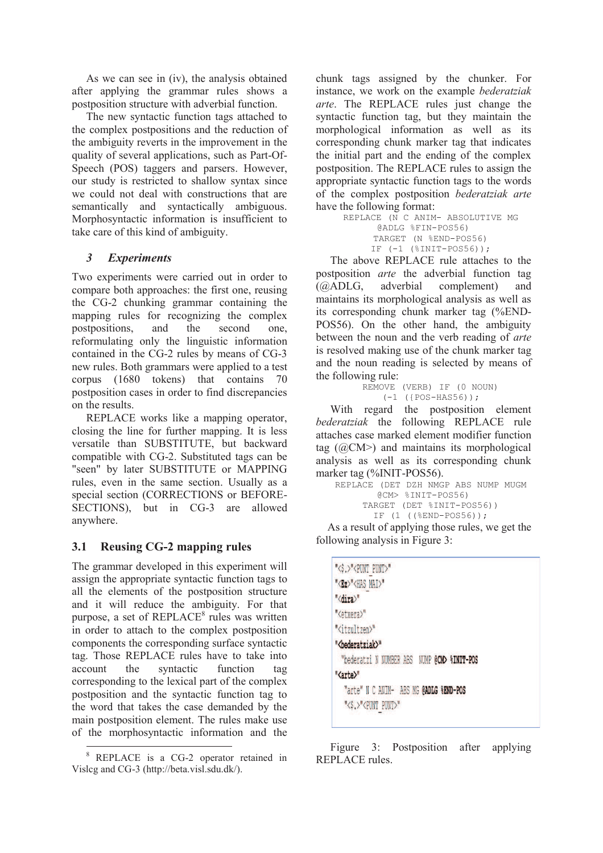As we can see in (iv), the analysis obtained after applying the grammar rules shows a postposition structure with adverbial function.

The new syntactic function tags attached to the complex postpositions and the reduction of the ambiguity reverts in the improvement in the quality of several applications, such as Part-Of-Speech (POS) taggers and parsers. However, our study is restricted to shallow syntax since we could not deal with constructions that are semantically and syntactically ambiguous. Morphosyntactic information is insufficient to take care of this kind of ambiguity.

## *3 Experiments*

Two experiments were carried out in order to compare both approaches: the first one, reusing the CG-2 chunking grammar containing the mapping rules for recognizing the complex postpositions, and the second one, reformulating only the linguistic information contained in the CG-2 rules by means of CG-3 new rules. Both grammars were applied to a test corpus (1680 tokens) that contains 70 postposition cases in order to find discrepancies on the results.

REPLACE works like a mapping operator, closing the line for further mapping. It is less versatile than SUBSTITUTE, but backward compatible with CG-2. Substituted tags can be "seen" by later SUBSTITUTE or MAPPING rules, even in the same section. Usually as a special section (CORRECTIONS or BEFORE-SECTIONS), but in CG-3 are allowed anywhere.

# **3.1 Reusing CG-2 mapping rules**

The grammar developed in this experiment will assign the appropriate syntactic function tags to all the elements of the postposition structure and it will reduce the ambiguity. For that purpose, a set of REPLACE<sup>8</sup> rules was written in order to attach to the complex postposition components the corresponding surface syntactic tag. Those REPLACE rules have to take into account the syntactic function tag corresponding to the lexical part of the complex postposition and the syntactic function tag to the word that takes the case demanded by the main postposition element. The rules make use of the morphosyntactic information and the

chunk tags assigned by the chunker. For instance, we work on the example *bederatziak arte*. The REPLACE rules just change the syntactic function tag, but they maintain the morphological information as well as its corresponding chunk marker tag that indicates the initial part and the ending of the complex postposition. The REPLACE rules to assign the appropriate syntactic function tags to the words of the complex postposition *bederatziak arte*  have the following format:

REPLACE (N C ANIM- ABSOLUTIVE MG @ADLG %FIN-POS56) TARGET (N %END-POS56) IF  $(-1 \text{ (§INTT-POS56)});$ 

The above REPLACE rule attaches to the postposition *arte* the adverbial function tag (@ADLG, adverbial complement) and maintains its morphological analysis as well as its corresponding chunk marker tag (%END-POS56). On the other hand, the ambiguity between the noun and the verb reading of *arte* is resolved making use of the chunk marker tag and the noun reading is selected by means of the following rule:

REMOVE (VERB) IF (0 NOUN) (-1 ({POS-HAS56));

With regard the postposition element *bederatziak* the following REPLACE rule attaches case marked element modifier function tag  $(QCM>)$  and maintains its morphological analysis as well as its corresponding chunk marker tag (%INIT-POS56).

```
REPLACE (DET DZH NMGP ABS NUMP MUGM 
        @CM> %INIT-POS56) 
     TARGET (DET %INIT-POS56)) 
       IF (1 ((8END-POS56));
```
As a result of applying those rules, we get the following analysis in Figure 3:

| "<\$.>" <punt punt="">"</punt>              |  |
|---------------------------------------------|--|
| " <bz>"<has mai="">"</has></bz>             |  |
| " <dira>"</dira>                            |  |
| " <etxera>"</etxera>                        |  |
| " <itzultzen>"</itzultzen>                  |  |
| " <bederatziak>"</bederatziak>              |  |
| "bederatzi N NUMBER ABS NUMP @CMD %INIT-POS |  |
| " <arte>"</arte>                            |  |
| "arte" N C ANIM- ABS MG @ADLG %END-POS      |  |
| "<\$,>" <punt punt="">"</punt>              |  |
|                                             |  |

Figure 3: Postposition after applying REPLACE rules.

<sup>-</sup>8 REPLACE is a CG-2 operator retained in Vislcg and CG-3 (http://beta.visl.sdu.dk/).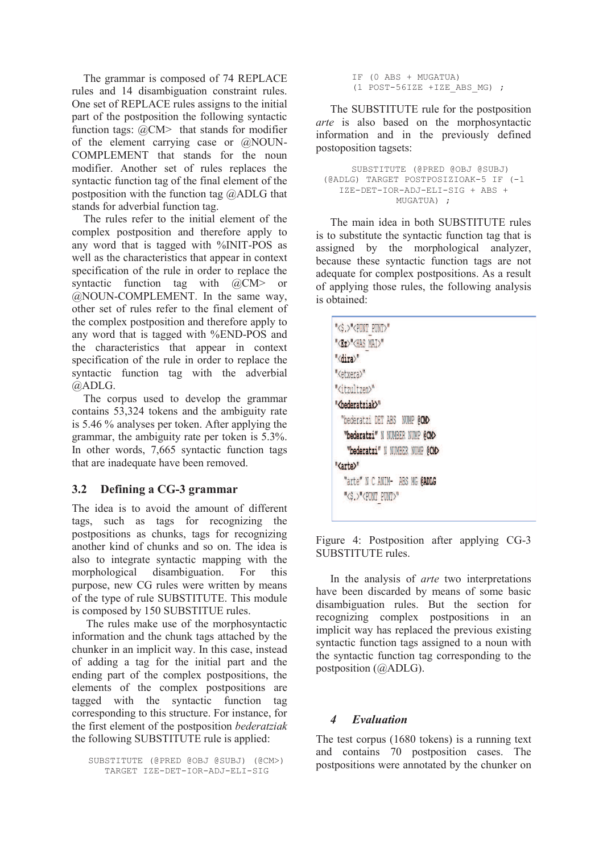The grammar is composed of 74 REPLACE rules and 14 disambiguation constraint rules. One set of REPLACE rules assigns to the initial part of the postposition the following syntactic function tags: @CM> that stands for modifier of the element carrying case or @NOUN-COMPLEMENT that stands for the noun modifier. Another set of rules replaces the syntactic function tag of the final element of the postposition with the function tag @ADLG that stands for adverbial function tag.

The rules refer to the initial element of the complex postposition and therefore apply to any word that is tagged with %INIT-POS as well as the characteristics that appear in context specification of the rule in order to replace the syntactic function tag with @CM> or @NOUN-COMPLEMENT. In the same way, other set of rules refer to the final element of the complex postposition and therefore apply to any word that is tagged with %END-POS and the characteristics that appear in context specification of the rule in order to replace the syntactic function tag with the adverbial @ADLG.

The corpus used to develop the grammar contains 53,324 tokens and the ambiguity rate is 5.46 % analyses per token. After applying the grammar, the ambiguity rate per token is 5.3%. In other words, 7,665 syntactic function tags that are inadequate have been removed.

## **3.2 Defining a CG-3 grammar**

The idea is to avoid the amount of different tags, such as tags for recognizing the postpositions as chunks, tags for recognizing another kind of chunks and so on. The idea is also to integrate syntactic mapping with the morphological disambiguation. For this purpose, new CG rules were written by means of the type of rule SUBSTITUTE. This module is composed by 150 SUBSTITUE rules.

The rules make use of the morphosyntactic information and the chunk tags attached by the chunker in an implicit way. In this case, instead of adding a tag for the initial part and the ending part of the complex postpositions, the elements of the complex postpositions are tagged with the syntactic function tag corresponding to this structure. For instance, for the first element of the postposition *bederatziak* the following SUBSTITUTE rule is applied:

SUBSTITUTE (@PRED @OBJ @SUBJ) (@CM>) TARGET IZE-DET-IOR-ADJ-ELI-SIG

IF (0 ABS + MUGATUA) (1 POST-56IZE +IZE\_ABS\_MG) ;

The SUBSTITUTE rule for the postposition *arte* is also based on the morphosyntactic information and in the previously defined postoposition tagsets:

```
SUBSTITUTE (@PRED @OBJ @SUBJ) 
(@ADLG) TARGET POSTPOSIZIOAK-5 IF (-1 
  IZE-DET-IOR-ADJ-ELI-SIG + ABS + 
             MUGATUA) ;
```
The main idea in both SUBSTITUTE rules is to substitute the syntactic function tag that is assigned by the morphological analyzer, because these syntactic function tags are not adequate for complex postpositions. As a result of applying those rules, the following analysis is obtained:

| "<\$.>" <punt punt="">"</punt>   |  |
|----------------------------------|--|
| " <ez>"<has mai="">"</has></ez>  |  |
| " <dira>"</dira>                 |  |
| " <etxera>"</etxera>             |  |
| " <itzultzen>"</itzultzen>       |  |
| "<br>bederatziak>"               |  |
| "bederatzi DET ABS NUMP @CM>     |  |
| "bederatzi" N NUMBER NUMP @CMD   |  |
| "bederatzi" N NUMBER NUMP @CM>   |  |
| " <arte>"</arte>                 |  |
| "arte" N C ANIM- ABS MG @ADLG    |  |
| "<\$.>" <punt_punt>"</punt_punt> |  |
|                                  |  |

Figure 4: Postposition after applying CG-3 SUBSTITUTE rules.

In the analysis of *arte* two interpretations have been discarded by means of some basic disambiguation rules. But the section for recognizing complex postpositions in an implicit way has replaced the previous existing syntactic function tags assigned to a noun with the syntactic function tag corresponding to the postposition (@ADLG).

#### *4 Evaluation*

The test corpus (1680 tokens) is a running text and contains 70 postposition cases. The postpositions were annotated by the chunker on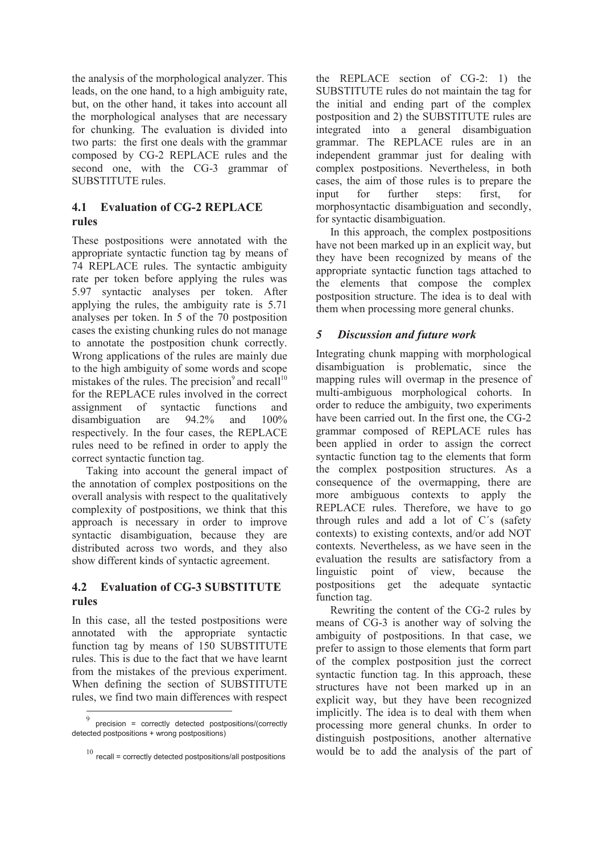the analysis of the morphological analyzer. This leads, on the one hand, to a high ambiguity rate, but, on the other hand, it takes into account all the morphological analyses that are necessary for chunking. The evaluation is divided into two parts: the first one deals with the grammar composed by CG-2 REPLACE rules and the second one, with the CG-3 grammar of SUBSTITUTE rules.

## **4.1 Evaluation of CG-2 REPLACE rules**

These postpositions were annotated with the appropriate syntactic function tag by means of 74 REPLACE rules. The syntactic ambiguity rate per token before applying the rules was 5.97 syntactic analyses per token. After applying the rules, the ambiguity rate is 5.71 analyses per token. In 5 of the 70 postposition cases the existing chunking rules do not manage to annotate the postposition chunk correctly. Wrong applications of the rules are mainly due to the high ambiguity of some words and scope mistakes of the rules. The precision $9$  and recall<sup>10</sup> for the REPLACE rules involved in the correct assignment of syntactic functions and disambiguation are 94.2% and 100% respectively. In the four cases, the REPLACE rules need to be refined in order to apply the correct syntactic function tag.

Taking into account the general impact of the annotation of complex postpositions on the overall analysis with respect to the qualitatively complexity of postpositions, we think that this approach is necessary in order to improve syntactic disambiguation, because they are distributed across two words, and they also show different kinds of syntactic agreement.

## **4.2 Evaluation of CG-3 SUBSTITUTE rules**

In this case, all the tested postpositions were annotated with the appropriate syntactic function tag by means of 150 SUBSTITUTE rules. This is due to the fact that we have learnt from the mistakes of the previous experiment. When defining the section of SUBSTITUTE rules, we find two main differences with respect

-

the REPLACE section of CG-2: 1) the SUBSTITUTE rules do not maintain the tag for the initial and ending part of the complex postposition and 2) the SUBSTITUTE rules are integrated into a general disambiguation grammar. The REPLACE rules are in an independent grammar just for dealing with complex postpositions. Nevertheless, in both cases, the aim of those rules is to prepare the input for further steps: first, for morphosyntactic disambiguation and secondly, for syntactic disambiguation.

In this approach, the complex postpositions have not been marked up in an explicit way, but they have been recognized by means of the appropriate syntactic function tags attached to the elements that compose the complex postposition structure. The idea is to deal with them when processing more general chunks.

## *5 Discussion and future work*

Integrating chunk mapping with morphological disambiguation is problematic, since the mapping rules will overmap in the presence of multi-ambiguous morphological cohorts. In order to reduce the ambiguity, two experiments have been carried out. In the first one, the CG-2 grammar composed of REPLACE rules has been applied in order to assign the correct syntactic function tag to the elements that form the complex postposition structures. As a consequence of the overmapping, there are more ambiguous contexts to apply the REPLACE rules. Therefore, we have to go through rules and add a lot of C´s (safety contexts) to existing contexts, and/or add NOT contexts. Nevertheless, as we have seen in the evaluation the results are satisfactory from a linguistic point of view, because the postpositions get the adequate syntactic function tag.

Rewriting the content of the CG-2 rules by means of CG-3 is another way of solving the ambiguity of postpositions. In that case, we prefer to assign to those elements that form part of the complex postposition just the correct syntactic function tag. In this approach, these structures have not been marked up in an explicit way, but they have been recognized implicitly. The idea is to deal with them when processing more general chunks. In order to distinguish postpositions, another alternative would be to add the analysis of the part of

<sup>9</sup> precision = correctly detected postpositions/(correctly detected postpositions + wrong postpositions)

 $10$  recall = correctly detected postpositions/all postpositions